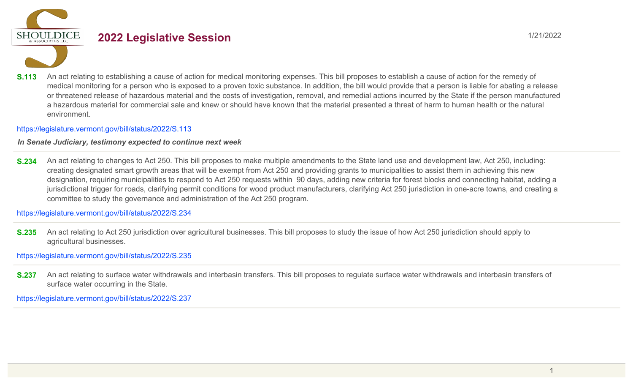

# **2022 Legislative Session** 1/21/2022

**S.113** An act relating to establishing a cause of action for medical monitoring expenses. This bill proposes to establish a cause of action for the remedy of medical monitoring for a person who is exposed to a proven toxic substance. In addition, the bill would provide that a person is liable for abating a release or threatened release of hazardous material and the costs of investigation, removal, and remedial actions incurred by the State if the person manufactured a hazardous material for commercial sale and knew or should have known that the material presented a threat of harm to human health or the natural environment.

### https://legislature.vermont.gov/bill/status/2022/S.113

## *In Senate Judiciary, testimony expected to continue next week*

**S.234** An act relating to changes to Act 250. This bill proposes to make multiple amendments to the State land use and development law, Act 250, including: creating designated smart growth areas that will be exempt from Act 250 and providing grants to municipalities to assist them in achieving this new designation, requiring municipalities to respond to Act 250 requests within 90 days, adding new criteria for forest blocks and connecting habitat, adding a jurisdictional trigger for roads, clarifying permit conditions for wood product manufacturers, clarifying Act 250 jurisdiction in one-acre towns, and creating a committee to study the governance and administration of the Act 250 program.

https://legislature.vermont.gov/bill/status/2022/S.234

**S.235** An act relating to Act 250 jurisdiction over agricultural businesses. This bill proposes to study the issue of how Act 250 jurisdiction should apply to agricultural businesses.

https://legislature.vermont.gov/bill/status/2022/S.235

**S.237** An act relating to surface water withdrawals and interbasin transfers. This bill proposes to regulate surface water withdrawals and interbasin transfers of surface water occurring in the State.

https://legislature.vermont.gov/bill/status/2022/S.237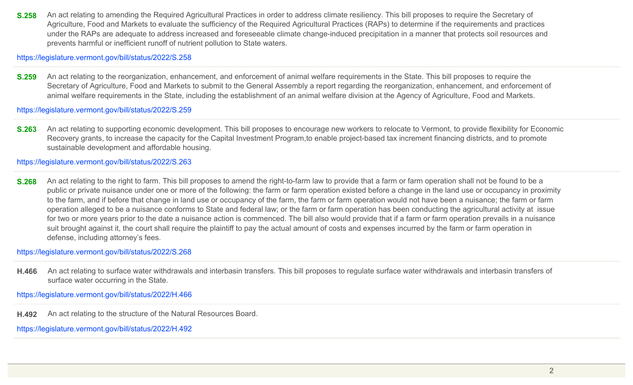**S.258** An act relating to amending the Required Agricultural Practices in order to address climate resiliency. This bill proposes to require the Secretary of Agriculture, Food and Markets to evaluate the sufficiency of the Required Agricultural Practices (RAPs) to determine if the requirements and practices under the RAPs are adequate to address increased and foreseeable climate change-induced precipitation in a manner that protects soil resources and prevents harmful or inefficient runoff of nutrient pollution to State waters.

https://legislature.vermont.gov/bill/status/2022/S.258

**S.259** An act relating to the reorganization, enhancement, and enforcement of animal welfare requirements in the State. This bill proposes to require the Secretary of Agriculture, Food and Markets to submit to the General Assembly a report regarding the reorganization, enhancement, and enforcement of animal welfare requirements in the State, including the establishment of an animal welfare division at the Agency of Agriculture, Food and Markets.

https://legislature.vermont.gov/bill/status/2022/S.259

**S.263** An act relating to supporting economic development. This bill proposes to encourage new workers to relocate to Vermont, to provide flexibility for Economic Recovery grants, to increase the capacity for the Capital Investment Program,to enable project-based tax increment financing districts, and to promote sustainable development and affordable housing.

https://legislature.vermont.gov/bill/status/2022/S.263

**S.268** An act relating to the right to farm. This bill proposes to amend the right-to-farm law to provide that a farm or farm operation shall not be found to be a public or private nuisance under one or more of the following: the farm or farm operation existed before a change in the land use or occupancy in proximity to the farm, and if before that change in land use or occupancy of the farm, the farm or farm operation would not have been a nuisance; the farm or farm operation alleged to be a nuisance conforms to State and federal law; or the farm or farm operation has been conducting the agricultural activity at issue for two or more years prior to the date a nuisance action is commenced. The bill also would provide that if a farm or farm operation prevails in a nuisance suit brought against it, the court shall require the plaintiff to pay the actual amount of costs and expenses incurred by the farm or farm operation in defense, including attorney's fees.

https://legislature.vermont.gov/bill/status/2022/S.268

**H.466** An act relating to surface water withdrawals and interbasin transfers. This bill proposes to regulate surface water withdrawals and interbasin transfers of surface water occurring in the State.

https://legislature.vermont.gov/bill/status/2022/H.466

**H.492** An act relating to the structure of the Natural Resources Board.

https://legislature.vermont.gov/bill/status/2022/H.492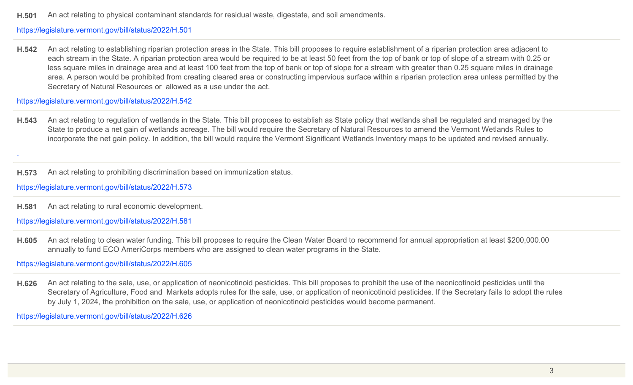**H.501** An act relating to physical contaminant standards for residual waste, digestate, and soil amendments.

#### https://legislature.vermont.gov/bill/status/2022/H.501

**H.542** An act relating to establishing riparian protection areas in the State. This bill proposes to require establishment of a riparian protection area adjacent to each stream in the State. A riparian protection area would be required to be at least 50 feet from the top of bank or top of slope of a stream with 0.25 or less square miles in drainage area and at least 100 feet from the top of bank or top of slope for a stream with greater than 0.25 square miles in drainage area. A person would be prohibited from creating cleared area or constructing impervious surface within a riparian protection area unless permitted by the Secretary of Natural Resources or allowed as a use under the act.

https://legislature.vermont.gov/bill/status/2022/H.542

**H.543** An act relating to regulation of wetlands in the State. This bill proposes to establish as State policy that wetlands shall be regulated and managed by the State to produce a net gain of wetlands acreage. The bill would require the Secretary of Natural Resources to amend the Vermont Wetlands Rules to incorporate the net gain policy. In addition, the bill would require the Vermont Significant Wetlands Inventory maps to be updated and revised annually.

**H.573** An act relating to prohibiting discrimination based on immunization status.

https://legislature.vermont.gov/bill/status/2022/H.573

.

**H.581** An act relating to rural economic development.

https://legislature.vermont.gov/bill/status/2022/H.581

**H.605** An act relating to clean water funding. This bill proposes to require the Clean Water Board to recommend for annual appropriation at least \$200,000.00 annually to fund ECO AmeriCorps members who are assigned to clean water programs in the State.

https://legislature.vermont.gov/bill/status/2022/H.605

**H.626** An act relating to the sale, use, or application of neonicotinoid pesticides. This bill proposes to prohibit the use of the neonicotinoid pesticides until the Secretary of Agriculture, Food and Markets adopts rules for the sale, use, or application of neonicotinoid pesticides. If the Secretary fails to adopt the rules by July 1, 2024, the prohibition on the sale, use, or application of neonicotinoid pesticides would become permanent.

https://legislature.vermont.gov/bill/status/2022/H.626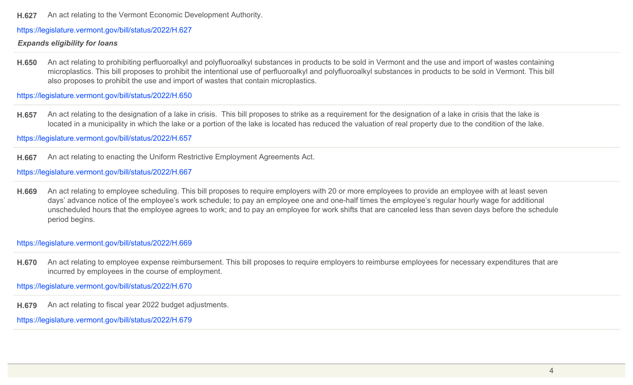**H.627** An act relating to the Vermont Economic Development Authority.

https://legislature.vermont.gov/bill/status/2022/H.627

### *Expands eligibility for loans*

**H.650** An act relating to prohibiting perfluoroalkyl and polyfluoroalkyl substances in products to be sold in Vermont and the use and import of wastes containing microplastics. This bill proposes to prohibit the intentional use of perfluoroalkyl and polyfluoroalkyl substances in products to be sold in Vermont. This bill also proposes to prohibit the use and import of wastes that contain microplastics.

https://legislature.vermont.gov/bill/status/2022/H.650

**H.657** An act relating to the designation of a lake in crisis. This bill proposes to strike as a requirement for the designation of a lake in crisis that the lake is located in a municipality in which the lake or a portion of the lake is located has reduced the valuation of real property due to the condition of the lake.

https://legislature.vermont.gov/bill/status/2022/H.657

**H.667** An act relating to enacting the Uniform Restrictive Employment Agreements Act.

https://legislature.vermont.gov/bill/status/2022/H.667

**H.669** An act relating to employee scheduling. This bill proposes to require employers with 20 or more employees to provide an employee with at least seven days' advance notice of the employee's work schedule; to pay an employee one and one-half times the employee's regular hourly wage for additional unscheduled hours that the employee agrees to work; and to pay an employee for work shifts that are canceled less than seven days before the schedule period begins.

https://legislature.vermont.gov/bill/status/2022/H.669

H.670 An act relating to employee expense reimbursement. This bill proposes to require employers to reimburse employees for necessary expenditures that are incurred by employees in the course of employment.

https://legislature.vermont.gov/bill/status/2022/H.670

**H.679** An act relating to fiscal year 2022 budget adjustments.

https://legislature.vermont.gov/bill/status/2022/H.679